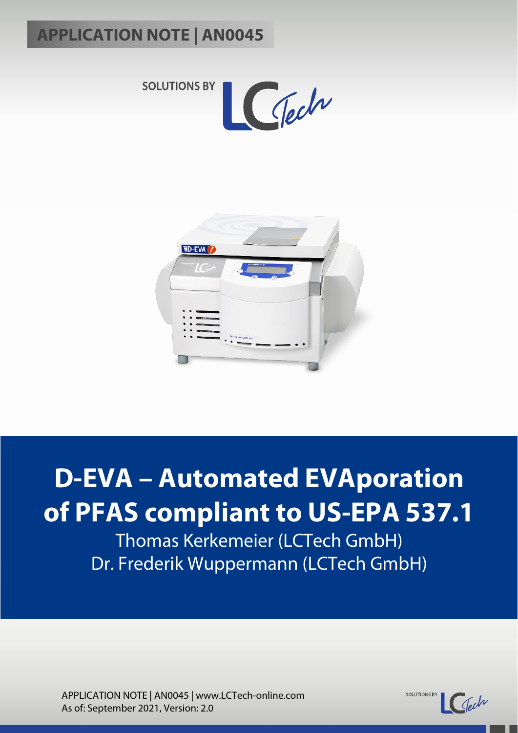



# **D-EVA – Automated EVAporation of PFAS compliant to US-EPA 537.1**

Thomas Kerkemeier (LCTech GmbH) Dr. Frederik Wuppermann (LCTech GmbH)

APPLICATION NOTE | AN0045 | www.LCTech-online.com As of: September 2021, Version: 2.0

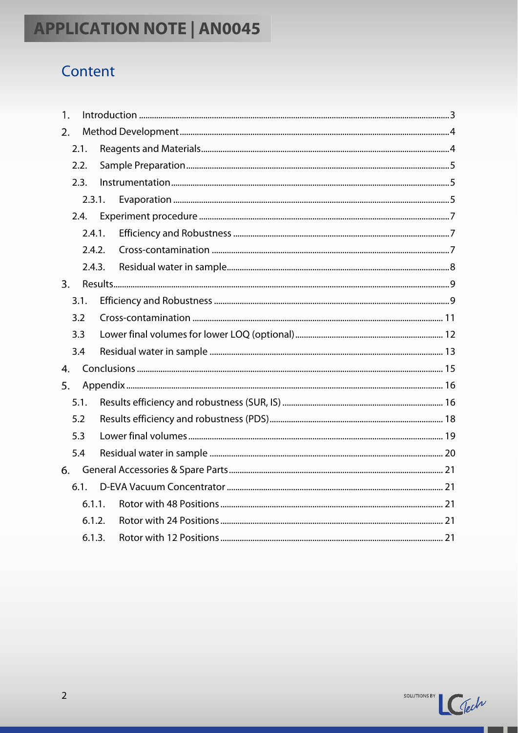# Content

| 1.               |        |  |  |
|------------------|--------|--|--|
| 2.               |        |  |  |
|                  | 2.1.   |  |  |
|                  | 2.2.   |  |  |
|                  | 2.3.   |  |  |
|                  | 2.3.1. |  |  |
|                  | 2.4.   |  |  |
|                  | 2.4.1. |  |  |
|                  | 2.4.2. |  |  |
|                  | 2.4.3. |  |  |
| $\overline{3}$ . |        |  |  |
|                  | 3.1.   |  |  |
|                  | 3.2    |  |  |
|                  | 3.3    |  |  |
|                  | 3.4    |  |  |
| 4.               |        |  |  |
| 5.               |        |  |  |
|                  | 5.1.   |  |  |
|                  | 5.2    |  |  |
|                  | 5.3    |  |  |
|                  | 5.4    |  |  |
| 6.               |        |  |  |
|                  | 6.1.   |  |  |
|                  | 6.1.1. |  |  |
|                  | 6.1.2. |  |  |
|                  | 6.1.3. |  |  |

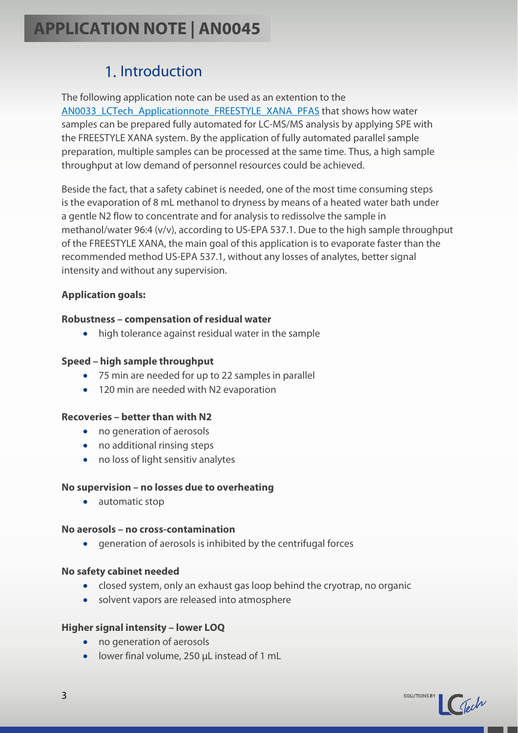### 1. Introduction

<span id="page-2-0"></span>The following application note can be used as an extention to the AN0033 LCTech Applicationnote FREESTYLE XANA PFAS that shows how water samples can be prepared fully automated for LC-MS/MS analysis by applying SPE with the FREESTYLE XANA system. By the application of fully automated parallel sample preparation, multiple samples can be processed at the same time. Thus, a high sample throughput at low demand of personnel resources could be achieved.

Beside the fact, that a safety cabinet is needed, one of the most time consuming steps is the evaporation of 8 mL methanol to dryness by means of a heated water bath under a gentle N2 flow to concentrate and for analysis to redissolve the sample in methanol/water 96:4 (v/v), according to US-EPA 537.1. Due to the high sample throughput of the FREESTYLE XANA, the main goal of this application is to evaporate faster than the recommended method US-EPA 537.1, without any losses of analytes, better signal intensity and without any supervision.

#### **Application goals:**

#### **Robustness – compensation of residual water**

• high tolerance against residual water in the sample

#### **Speed – high sample throughput**

- 75 min are needed for up to 22 samples in parallel
- 120 min are needed with N2 evaporation

#### **Recoveries – better than with N2**

- no generation of aerosols
- no additional rinsing steps
- no loss of light sensitiv analytes

#### **No supervision – no losses due to overheating**

• automatic stop

#### **No aerosols – no cross-contamination**

• generation of aerosols is inhibited by the centrifugal forces

#### **No safety cabinet needed**

- closed system, only an exhaust gas loop behind the cryotrap, no organic
- solvent vapors are released into atmosphere

#### **Higher signal intensity – lower LOQ**

- no generation of aerosols
- lower final volume, 250 µL instead of 1 mL

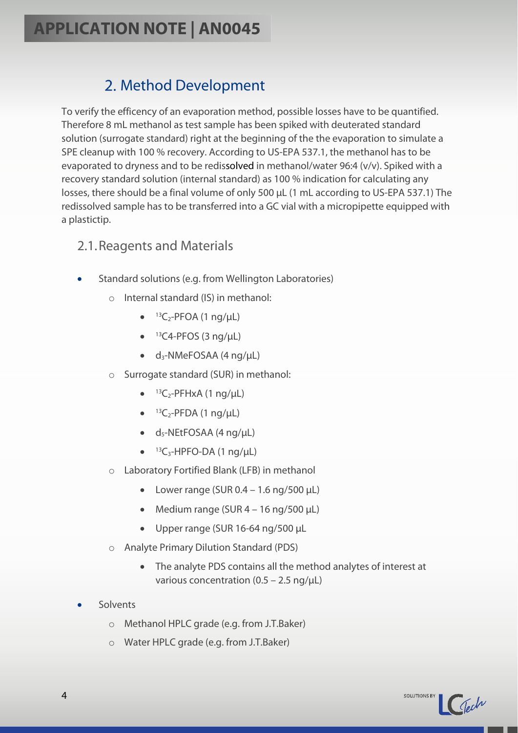## 2. Method Development

<span id="page-3-0"></span>To verify the efficency of an evaporation method, possible losses have to be quantified. Therefore 8 mL methanol as test sample has been spiked with deuterated standard solution (surrogate standard) right at the beginning of the the evaporation to simulate a SPE cleanup with 100 % recovery. According to US-EPA 537.1, the methanol has to be evaporated to dryness and to be redissolved in methanol/water 96:4 (v/v). Spiked with a recovery standard solution (internal standard) as 100 % indication for calculating any losses, there should be a final volume of only 500 µL (1 mL according to US-EPA 537.1) The redissolved sample has to be transferred into a GC vial with a micropipette equipped with a plastictip.

#### <span id="page-3-1"></span>2.1.Reagents and Materials

- Standard solutions (e.g. from Wellington Laboratories)
	- o Internal standard (IS) in methanol:
		- $\bullet$  <sup>13</sup>C<sub>2</sub>-PFOA (1 ng/µL)
		- $\bullet$  <sup>13</sup>C4-PFOS (3 ng/µL)
		- $\bullet$  d<sub>3</sub>-NMeFOSAA (4 ng/µL)
	- o Surrogate standard (SUR) in methanol:
		- $\bullet$  <sup>13</sup>C<sub>2</sub>-PFHxA (1 ng/µL)
		- $\bullet$  <sup>13</sup>C<sub>2</sub>-PFDA (1 ng/µL)
		- $\bullet$  d<sub>5</sub>-NEtFOSAA (4 ng/µL)
		- $\bullet$  <sup>13</sup>C<sub>3</sub>-HPFO-DA (1 ng/µL)
	- o Laboratory Fortified Blank (LFB) in methanol
		- Lower range (SUR  $0.4 1.6$  ng/500  $\mu$ L)
		- Medium range (SUR  $4 16$  ng/500  $\mu$ L)
		- Upper range (SUR 16-64 ng/500 µL
	- o Analyte Primary Dilution Standard (PDS)
		- The analyte PDS contains all the method analytes of interest at various concentration  $(0.5 - 2.5 \text{ ng/}\mu\text{L})$
- Solvents
	- o Methanol HPLC grade (e.g. from J.T.Baker)
	- o Water HPLC grade (e.g. from J.T.Baker)

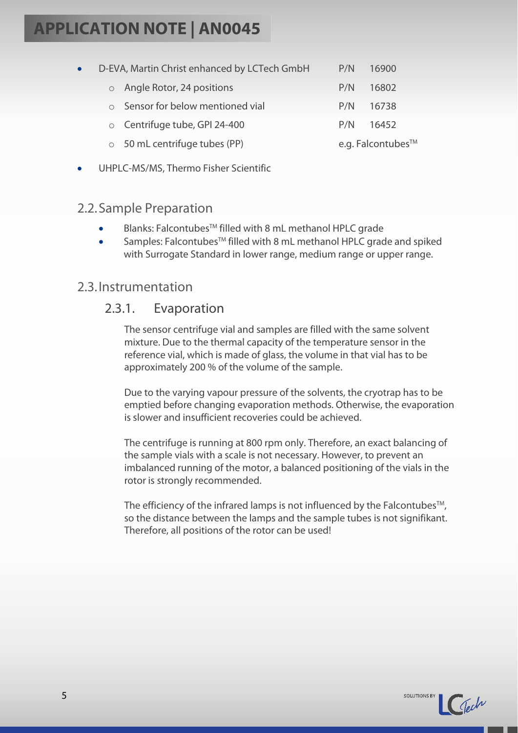| $\bullet$ | D-EVA, Martin Christ enhanced by LCTech GmbH | P/N | 16900             |  |
|-----------|----------------------------------------------|-----|-------------------|--|
|           | o Angle Rotor, 24 positions                  | P/N | 16802             |  |
|           | $\circ$ Sensor for below mentioned vial      | P/N | 16738             |  |
|           | ○ Centrifuge tube, GPI 24-400                | P/N | 16452             |  |
|           | $\circ$ 50 mL centrifuge tubes (PP)          |     | e.g. Falcontubes™ |  |

• UHPLC-MS/MS, Thermo Fisher Scientific

#### <span id="page-4-0"></span>2.2.Sample Preparation

- Blanks: Falcontubes™ filled with 8 mL methanol HPLC grade
- Samples: Falcontubes™ filled with 8 mL methanol HPLC grade and spiked with Surrogate Standard in lower range, medium range or upper range.

#### <span id="page-4-2"></span><span id="page-4-1"></span>2.3.Instrumentation

### 2.3.1. Evaporation

The sensor centrifuge vial and samples are filled with the same solvent mixture. Due to the thermal capacity of the temperature sensor in the reference vial, which is made of glass, the volume in that vial has to be approximately 200 % of the volume of the sample.

Due to the varying vapour pressure of the solvents, the cryotrap has to be emptied before changing evaporation methods. Otherwise, the evaporation is slower and insufficient recoveries could be achieved.

The centrifuge is running at 800 rpm only. Therefore, an exact balancing of the sample vials with a scale is not necessary. However, to prevent an imbalanced running of the motor, a balanced positioning of the vials in the rotor is strongly recommended.

The efficiency of the infrared lamps is not influenced by the Falcontubes<sup>TM</sup>, so the distance between the lamps and the sample tubes is not signifikant. Therefore, all positions of the rotor can be used!

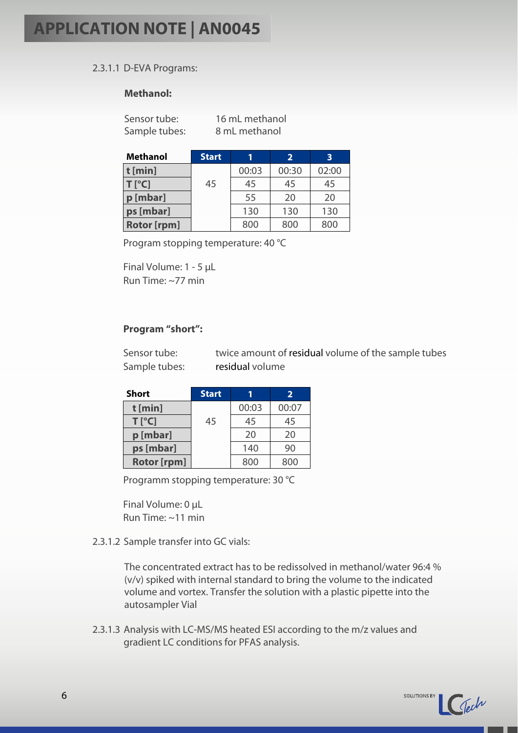#### 2.3.1.1 D-EVA Programs:

#### **Methanol:**

Sensor tube: 16 mL methanol

Sample tubes: 8 mL methanol

| <b>Methanol</b>    | <b>Start</b> | 1     | $\overline{2}$ | 3     |
|--------------------|--------------|-------|----------------|-------|
| $t$ [min]          |              | 00:03 | 00:30          | 02:00 |
| $T[^{\circ}C]$     | 45           | 45    | 45             | 45    |
| p [mbar]           |              | 55    | 20             | 20    |
| ps [mbar]          |              | 130   | 130            | 130   |
| <b>Rotor [rpm]</b> |              | 800   | 800            | 800   |

Program stopping temperature: 40 °C

Final Volume: 1 - 5 µL Run Time: ~77 min

#### **Program "short":**

| Sensor tube:  | twice amount of residual volume of the sample tubes |
|---------------|-----------------------------------------------------|
| Sample tubes: | residual volume                                     |

| Short              | <b>Start</b> |       | $\overline{2}$ |
|--------------------|--------------|-------|----------------|
| $t$ [min]          |              | 00:03 | 00:07          |
| $T[^{\circ}C]$     | 45           | 45    | 45             |
| p [mbar]           |              | 20    | 20             |
| ps [mbar]          |              | 140   | 90             |
| <b>Rotor [rpm]</b> |              | 800   | 800            |

Programm stopping temperature: 30 °C

Final Volume: 0 µL Run Time: ~11 min

2.3.1.2 Sample transfer into GC vials:

The concentrated extract has to be redissolved in methanol/water 96:4 % (v/v) spiked with internal standard to bring the volume to the indicated volume and vortex. Transfer the solution with a plastic pipette into the autosampler Vial

2.3.1.3 Analysis with LC-MS/MS heated ESI according to the m/z values and gradient LC conditions for PFAS analysis.

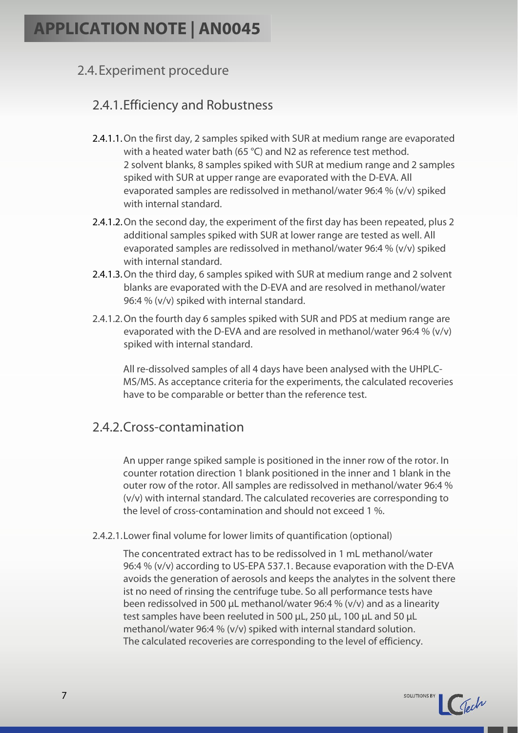#### <span id="page-6-0"></span>2.4.Experiment procedure

### <span id="page-6-1"></span>2.4.1.Efficiency and Robustness

- 2.4.1.1.On the first day, 2 samples spiked with SUR at medium range are evaporated with a heated water bath (65 °C) and N2 as reference test method. 2 solvent blanks, 8 samples spiked with SUR at medium range and 2 samples spiked with SUR at upper range are evaporated with the D-EVA. All evaporated samples are redissolved in methanol/water 96:4 % (v/v) spiked with internal standard.
- 2.4.1.2.On the second day, the experiment of the first day has been repeated, plus 2 additional samples spiked with SUR at lower range are tested as well. All evaporated samples are redissolved in methanol/water 96:4 % (v/v) spiked with internal standard.
- 2.4.1.3.On the third day, 6 samples spiked with SUR at medium range and 2 solvent blanks are evaporated with the D-EVA and are resolved in methanol/water 96:4 % (v/v) spiked with internal standard.
- 2.4.1.2.On the fourth day 6 samples spiked with SUR and PDS at medium range are evaporated with the D-EVA and are resolved in methanol/water 96:4 % (v/v) spiked with internal standard.

All re-dissolved samples of all 4 days have been analysed with the UHPLC-MS/MS. As acceptance criteria for the experiments, the calculated recoveries have to be comparable or better than the reference test.

#### <span id="page-6-2"></span>2.4.2.Cross-contamination

An upper range spiked sample is positioned in the inner row of the rotor. In counter rotation direction 1 blank positioned in the inner and 1 blank in the outer row of the rotor. All samples are redissolved in methanol/water 96:4 % (v/v) with internal standard. The calculated recoveries are corresponding to the level of cross-contamination and should not exceed 1 %.

2.4.2.1.Lower final volume for lower limits of quantification (optional)

The concentrated extract has to be redissolved in 1 mL methanol/water 96:4 % (v/v) according to US-EPA 537.1. Because evaporation with the D-EVA avoids the generation of aerosols and keeps the analytes in the solvent there ist no need of rinsing the centrifuge tube. So all performance tests have been redissolved in 500 µL methanol/water 96:4 % (v/v) and as a linearity test samples have been reeluted in 500 µL, 250 µL, 100 µL and 50 µL methanol/water 96:4 % (v/v) spiked with internal standard solution. The calculated recoveries are corresponding to the level of efficiency.

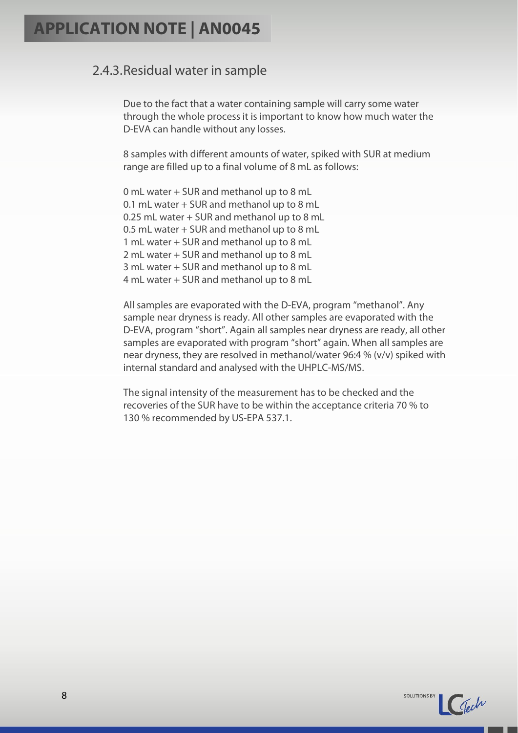#### <span id="page-7-0"></span>2.4.3.Residual water in sample

Due to the fact that a water containing sample will carry some water through the whole process it is important to know how much water the D-EVA can handle without any losses.

8 samples with different amounts of water, spiked with SUR at medium range are filled up to a final volume of 8 mL as follows:

0 mL water + SUR and methanol up to 8 mL 0.1 mL water + SUR and methanol up to 8 mL 0.25 mL water + SUR and methanol up to 8 mL 0.5 mL water + SUR and methanol up to 8 mL 1 mL water + SUR and methanol up to 8 mL 2 mL water + SUR and methanol up to 8 mL 3 mL water + SUR and methanol up to 8 mL 4 mL water + SUR and methanol up to 8 mL

All samples are evaporated with the D-EVA, program "methanol". Any sample near dryness is ready. All other samples are evaporated with the D-EVA, program "short". Again all samples near dryness are ready, all other samples are evaporated with program "short" again. When all samples are near dryness, they are resolved in methanol/water 96:4 % (v/v) spiked with internal standard and analysed with the UHPLC-MS/MS.

The signal intensity of the measurement has to be checked and the recoveries of the SUR have to be within the acceptance criteria 70 % to 130 % recommended by US-EPA 537.1.

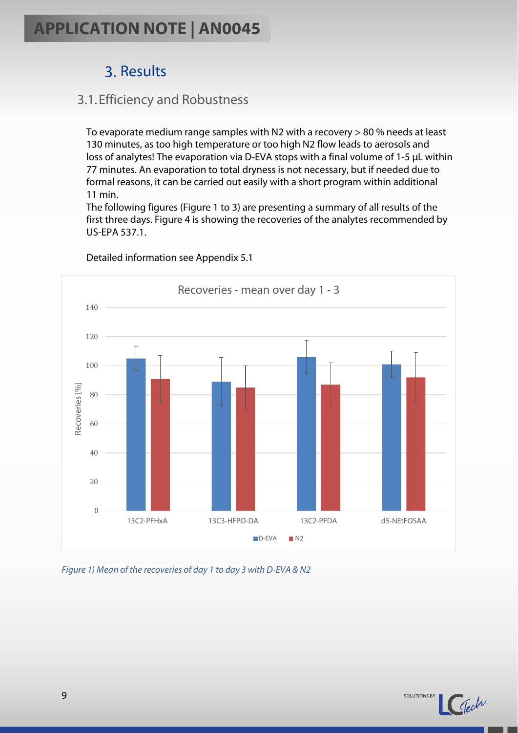## 3. Results

### <span id="page-8-1"></span><span id="page-8-0"></span>3.1.Efficiency and Robustness

To evaporate medium range samples with N2 with a recovery > 80 % needs at least 130 minutes, as too high temperature or too high N2 flow leads to aerosols and loss of analytes! The evaporation via D-EVA stops with a final volume of 1-5 µL within 77 minutes. An evaporation to total dryness is not necessary, but if needed due to formal reasons, it can be carried out easily with a short program within additional 11 min.

The following figures (Figure 1 to 3) are presenting a summary of all results of the first three days. Figure 4 is showing the recoveries of the analytes recommended by US-EPA 537.1.



Detailed information see Appendix 5.1

*Figure 1) Mean of the recoveries of day 1 to day 3 with D-EVA & N2*

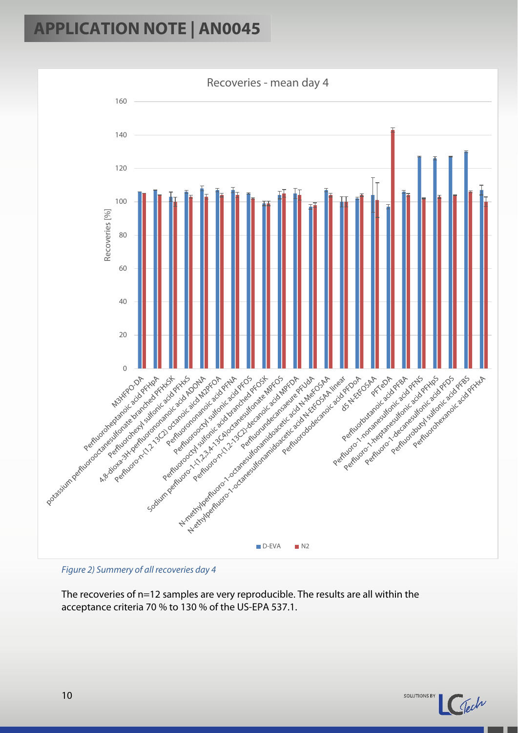



The recoveries of n=12 samples are very reproducible. The results are all within the acceptance criteria 70 % to 130 % of the US-EPA 537.1.

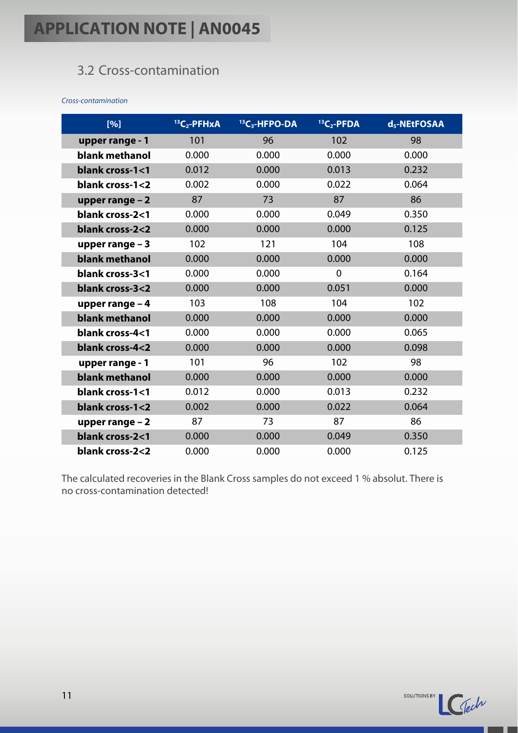### <span id="page-10-0"></span>3.2 Cross-contamination

*Cross-contamination*

| [%]              | $13C_2$ -PFHxA | <sup>13</sup> C <sub>3</sub> -HFPO-DA | ${}^{13}C_2$ -PFDA | d <sub>5</sub> -NEtFOSAA |
|------------------|----------------|---------------------------------------|--------------------|--------------------------|
| upper range - 1  | 101            | 96                                    | 102                | 98                       |
| blank methanol   | 0.000          | 0.000                                 | 0.000              | 0.000                    |
| blank cross-1<1  | 0.012          | 0.000                                 | 0.013              | 0.232                    |
| blank cross-1<2  | 0.002          | 0.000                                 | 0.022              | 0.064                    |
| upper range $-2$ | 87             | 73                                    | 87                 | 86                       |
| blank cross-2<1  | 0.000          | 0.000                                 | 0.049              | 0.350                    |
| blank cross-2<2  | 0.000          | 0.000                                 | 0.000              | 0.125                    |
| upper range $-3$ | 102            | 121                                   | 104                | 108                      |
| blank methanol   | 0.000          | 0.000                                 | 0.000              | 0.000                    |
| blank cross-3<1  | 0.000          | 0.000                                 | $\overline{0}$     | 0.164                    |
| blank cross-3<2  | 0.000          | 0.000                                 | 0.051              | 0.000                    |
| upper range $-4$ | 103            | 108                                   | 104                | 102                      |
| blank methanol   | 0.000          | 0.000                                 | 0.000              | 0.000                    |
| blank cross-4<1  | 0.000          | 0.000                                 | 0.000              | 0.065                    |
| blank cross-4<2  | 0.000          | 0.000                                 | 0.000              | 0.098                    |
| upper range - 1  | 101            | 96                                    | 102                | 98                       |
| blank methanol   | 0.000          | 0.000                                 | 0.000              | 0.000                    |
| blank cross-1<1  | 0.012          | 0.000                                 | 0.013              | 0.232                    |
| blank cross-1<2  | 0.002          | 0.000                                 | 0.022              | 0.064                    |
| upper range $-2$ | 87             | 73                                    | 87                 | 86                       |
| blank cross-2<1  | 0.000          | 0.000                                 | 0.049              | 0.350                    |
| blank cross-2<2  | 0.000          | 0.000                                 | 0.000              | 0.125                    |

The calculated recoveries in the Blank Cross samples do not exceed 1 % absolut. There is no cross-contamination detected!

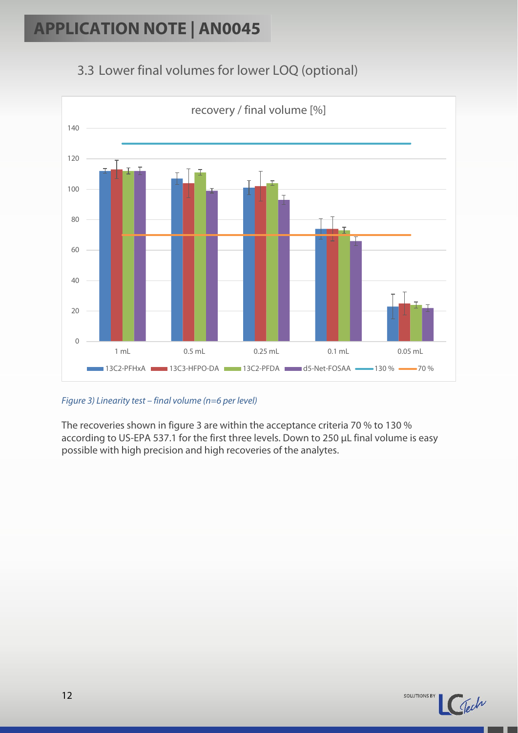### <span id="page-11-0"></span>3.3 Lower final volumes for lower LOQ (optional)



#### *Figure 3) Linearity test – final volume (n=6 per level)*

The recoveries shown in figure 3 are within the acceptance criteria 70 % to 130 % according to US-EPA 537.1 for the first three levels. Down to 250 µL final volume is easy possible with high precision and high recoveries of the analytes.

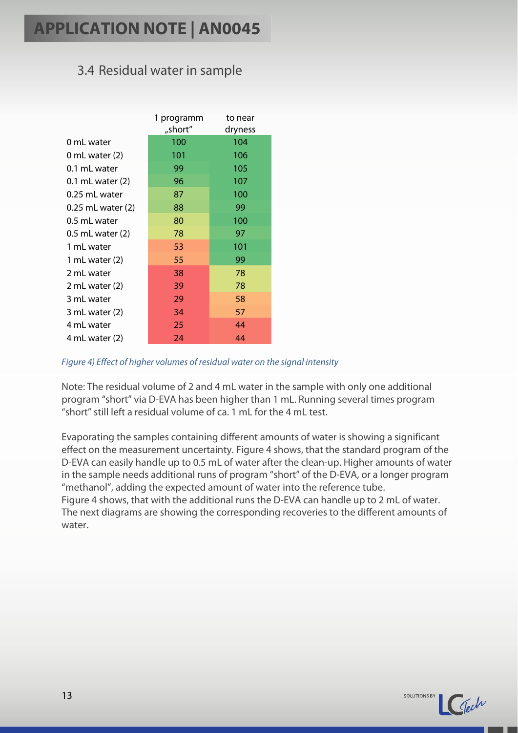### <span id="page-12-0"></span>3.4 Residual water in sample

|                   | 1 programm<br>"short" | to near<br>dryness |
|-------------------|-----------------------|--------------------|
| 0 mL water        | 100                   | 104                |
| 0 mL water (2)    | 101                   | 106                |
| 0.1 mL water      | 99                    | 105                |
| 0.1 mL water (2)  | 96                    | 107                |
| 0.25 mL water     | 87                    | 100                |
| 0.25 mL water (2) | 88                    | 99                 |
| 0.5 mL water      | 80                    | 100                |
| 0.5 mL water (2)  | 78                    | 97                 |
| 1 mL water        | 53                    | 101                |
| 1 mL water $(2)$  | 55                    | 99                 |
| 2 mL water        | 38                    | 78                 |
| 2 mL water $(2)$  | 39                    | 78                 |
| 3 mL water        | 29                    | 58                 |
| 3 mL water $(2)$  | 34                    | 57                 |
| 4 mL water        | 25                    | 44                 |
| 4 mL water (2)    | 24                    | 44                 |

#### *Figure 4) Effect of higher volumes of residual water on the signal intensity*

Note: The residual volume of 2 and 4 mL water in the sample with only one additional program "short" via D-EVA has been higher than 1 mL. Running several times program "short" still left a residual volume of ca. 1 mL for the 4 mL test.

Evaporating the samples containing different amounts of water is showing a significant effect on the measurement uncertainty. Figure 4 shows, that the standard program of the D-EVA can easily handle up to 0.5 mL of water after the clean-up. Higher amounts of water in the sample needs additional runs of program "short" of the D-EVA, or a longer program "methanol", adding the expected amount of water into the reference tube. Figure 4 shows, that with the additional runs the D-EVA can handle up to 2 mL of water. The next diagrams are showing the corresponding recoveries to the different amounts of water.

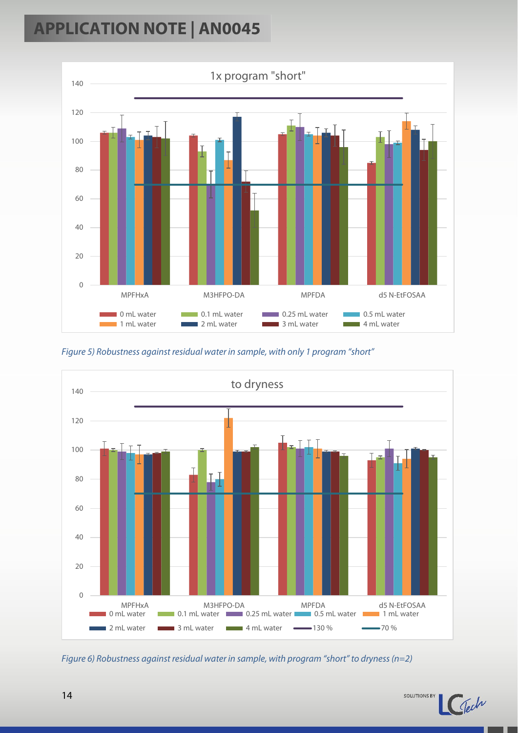

*Figure 5) Robustness against residual water in sample, with only 1 program "short"*



*Figure 6) Robustness against residual water in sample, with program "short" to dryness(n=2)*

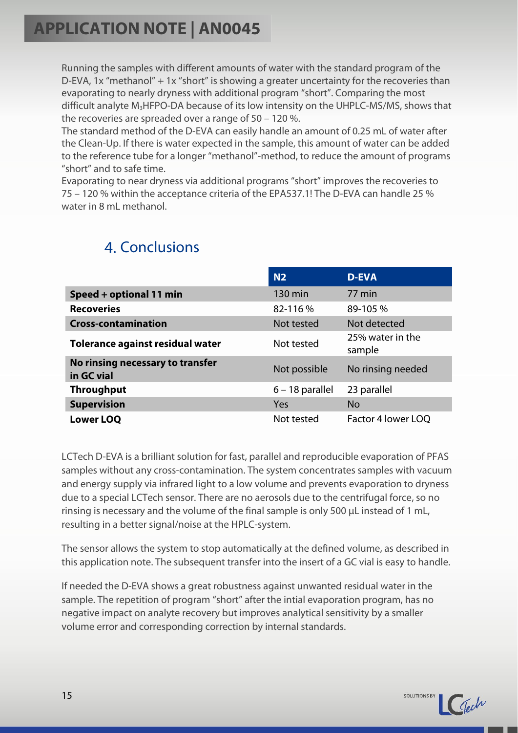Running the samples with different amounts of water with the standard program of the D-EVA, 1x "methanol" + 1x "short" is showing a greater uncertainty for the recoveries than evaporating to nearly dryness with additional program "short". Comparing the most difficult analyte M<sub>3</sub>HFPO-DA because of its low intensity on the UHPLC-MS/MS, shows that the recoveries are spreaded over a range of 50 – 120 %.

The standard method of the D-EVA can easily handle an amount of 0.25 mL of water after the Clean-Up. If there is water expected in the sample, this amount of water can be added to the reference tube for a longer "methanol"-method, to reduce the amount of programs "short" and to safe time.

Evaporating to near dryness via additional programs "short" improves the recoveries to 75 – 120 % within the acceptance criteria of the EPA537.1! The D-EVA can handle 25 % water in 8 mL methanol

<span id="page-14-0"></span>

|                                                | N <sub>2</sub>    | <b>D-EVA</b>               |
|------------------------------------------------|-------------------|----------------------------|
| Speed + optional 11 min                        | 130 min           | 77 min                     |
| <b>Recoveries</b>                              | 82-116%           | 89-105 %                   |
| <b>Cross-contamination</b>                     | Not tested        | Not detected               |
| Tolerance against residual water               | Not tested        | 25% water in the<br>sample |
| No rinsing necessary to transfer<br>in GC vial | Not possible      | No rinsing needed          |
| <b>Throughput</b>                              | $6 - 18$ parallel | 23 parallel                |
| <b>Supervision</b>                             | Yes               | <b>No</b>                  |
| <b>Lower LOQ</b>                               | Not tested        | Factor 4 lower LOQ         |

### 4. Conclusions

LCTech D-EVA is a brilliant solution for fast, parallel and reproducible evaporation of PFAS samples without any cross-contamination. The system concentrates samples with vacuum and energy supply via infrared light to a low volume and prevents evaporation to dryness due to a special LCTech sensor. There are no aerosols due to the centrifugal force, so no rinsing is necessary and the volume of the final sample is only 500 µL instead of 1 mL, resulting in a better signal/noise at the HPLC-system.

The sensor allows the system to stop automatically at the defined volume, as described in this application note. The subsequent transfer into the insert of a GC vial is easy to handle.

If needed the D-EVA shows a great robustness against unwanted residual water in the sample. The repetition of program "short" after the intial evaporation program, has no negative impact on analyte recovery but improves analytical sensitivity by a smaller volume error and corresponding correction by internal standards.

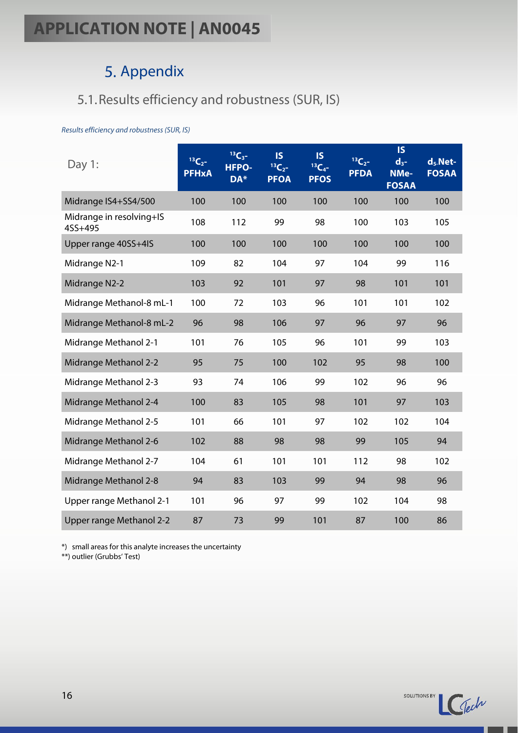### 5. Appendix

### <span id="page-15-1"></span><span id="page-15-0"></span>5.1.Results efficiency and robustness (SUR, IS)

#### *Results efficiency and robustness (SUR, IS)*

| Day 1:                              | $13C_{2}$<br><b>PFHxA</b> | $13C_3 -$<br><b>HFPO-</b><br>DA* | <b>IS</b><br>$13C_2 -$<br><b>PFOA</b> | $\overline{\mathsf{S}}$<br>$13C_4 -$<br><b>PFOS</b> | $13C_2 -$<br><b>PFDA</b> | <b>IS</b><br>$d_{3}$ -<br>NMe-<br><b>FOSAA</b> | $d_5$ . Net-<br><b>FOSAA</b> |
|-------------------------------------|---------------------------|----------------------------------|---------------------------------------|-----------------------------------------------------|--------------------------|------------------------------------------------|------------------------------|
| Midrange IS4+SS4/500                | 100                       | 100                              | 100                                   | 100                                                 | 100                      | 100                                            | 100                          |
| Midrange in resolving+IS<br>4SS+495 | 108                       | 112                              | 99                                    | 98                                                  | 100                      | 103                                            | 105                          |
| Upper range 40SS+4IS                | 100                       | 100                              | 100                                   | 100                                                 | 100                      | 100                                            | 100                          |
| Midrange N2-1                       | 109                       | 82                               | 104                                   | 97                                                  | 104                      | 99                                             | 116                          |
| Midrange N2-2                       | 103                       | 92                               | 101                                   | 97                                                  | 98                       | 101                                            | 101                          |
| Midrange Methanol-8 mL-1            | 100                       | 72                               | 103                                   | 96                                                  | 101                      | 101                                            | 102                          |
| Midrange Methanol-8 mL-2            | 96                        | 98                               | 106                                   | 97                                                  | 96                       | 97                                             | 96                           |
| Midrange Methanol 2-1               | 101                       | 76                               | 105                                   | 96                                                  | 101                      | 99                                             | 103                          |
| <b>Midrange Methanol 2-2</b>        | 95                        | 75                               | 100                                   | 102                                                 | 95                       | 98                                             | 100                          |
| Midrange Methanol 2-3               | 93                        | 74                               | 106                                   | 99                                                  | 102                      | 96                                             | 96                           |
| Midrange Methanol 2-4               | 100                       | 83                               | 105                                   | 98                                                  | 101                      | 97                                             | 103                          |
| Midrange Methanol 2-5               | 101                       | 66                               | 101                                   | 97                                                  | 102                      | 102                                            | 104                          |
| Midrange Methanol 2-6               | 102                       | 88                               | 98                                    | 98                                                  | 99                       | 105                                            | 94                           |
| Midrange Methanol 2-7               | 104                       | 61                               | 101                                   | 101                                                 | 112                      | 98                                             | 102                          |
| Midrange Methanol 2-8               | 94                        | 83                               | 103                                   | 99                                                  | 94                       | 98                                             | 96                           |
| Upper range Methanol 2-1            | 101                       | 96                               | 97                                    | 99                                                  | 102                      | 104                                            | 98                           |
| Upper range Methanol 2-2            | 87                        | 73                               | 99                                    | 101                                                 | 87                       | 100                                            | 86                           |

\*) small areas for this analyte increases the uncertainty

\*\*) outlier (Grubbs' Test)

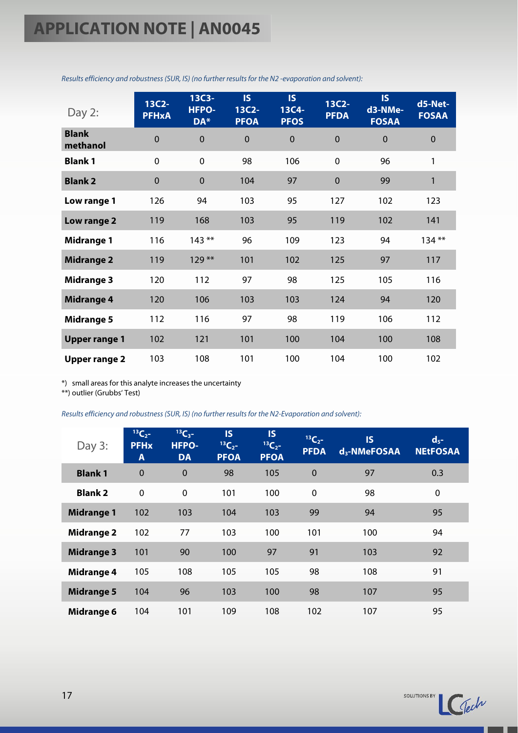| Day 2:                   | 13C2-<br><b>PFHxA</b> | 13C3-<br>HFPO-<br>DA* | <b>IS</b><br>13C2-<br><b>PFOA</b> | <b>IS</b><br>13C4-<br><b>PFOS</b> | 13C2-<br><b>PFDA</b> | <b>IS</b><br>d3-NMe-<br><b>FOSAA</b> | d5-Net-<br><b>FOSAA</b> |
|--------------------------|-----------------------|-----------------------|-----------------------------------|-----------------------------------|----------------------|--------------------------------------|-------------------------|
| <b>Blank</b><br>methanol | $\mathbf 0$           | $\mathbf 0$           | $\mathbf 0$                       | $\mathbf{0}$                      | $\mathbf 0$          | $\mathbf 0$                          | $\mathbf 0$             |
| <b>Blank1</b>            | $\mathbf 0$           | $\mathbf 0$           | 98                                | 106                               | $\mathbf 0$          | 96                                   | 1                       |
| <b>Blank 2</b>           | $\mathbf 0$           | $\boldsymbol{0}$      | 104                               | 97                                | $\mathbf 0$          | 99                                   | 1                       |
| Low range 1              | 126                   | 94                    | 103                               | 95                                | 127                  | 102                                  | 123                     |
| Low range 2              | 119                   | 168                   | 103                               | 95                                | 119                  | 102                                  | 141                     |
| <b>Midrange 1</b>        | 116                   | $143***$              | 96                                | 109                               | 123                  | 94                                   | $134***$                |
| <b>Midrange 2</b>        | 119                   | $129**$               | 101                               | 102                               | 125                  | 97                                   | 117                     |
| <b>Midrange 3</b>        | 120                   | 112                   | 97                                | 98                                | 125                  | 105                                  | 116                     |
| <b>Midrange 4</b>        | 120                   | 106                   | 103                               | 103                               | 124                  | 94                                   | 120                     |
| <b>Midrange 5</b>        | 112                   | 116                   | 97                                | 98                                | 119                  | 106                                  | 112                     |
| <b>Upper range 1</b>     | 102                   | 121                   | 101                               | 100                               | 104                  | 100                                  | 108                     |
| <b>Upper range 2</b>     | 103                   | 108                   | 101                               | 100                               | 104                  | 100                                  | 102                     |

*Results efficiency and robustness (SUR, IS) (no further results for the N2 -evaporation and solvent):* 

\*) small areas for this analyte increases the uncertainty

\*\*) outlier (Grubbs' Test)

*Results efficiency and robustness (SUR, IS) (no further results for the N2-Evaporation and solvent):*

| Day $3:$          | $^{13}C_{2}$ -<br><b>PFH<sub>x</sub></b><br>A | $^{13}C_{3}$ -<br><b>HFPO-</b><br><b>DA</b> | <b>IS</b><br>$13C_{2}$<br><b>PFOA</b> | <b>IS</b><br>${}^{13}C_{2}$ -<br><b>PFOA</b> | $^{13}C_{2}$ -<br><b>PFDA</b> | <b>IS</b><br>d <sub>3</sub> -NMeFOSAA | $d_{5}$ -<br><b>NEtFOSAA</b> |
|-------------------|-----------------------------------------------|---------------------------------------------|---------------------------------------|----------------------------------------------|-------------------------------|---------------------------------------|------------------------------|
| <b>Blank1</b>     | $\Omega$                                      | $\overline{0}$                              | 98                                    | 105                                          | $\mathbf 0$                   | 97                                    | 0.3                          |
| <b>Blank 2</b>    | $\mathbf 0$                                   | $\mathbf 0$                                 | 101                                   | 100                                          | $\mathbf 0$                   | 98                                    | 0                            |
| <b>Midrange 1</b> | 102                                           | 103                                         | 104                                   | 103                                          | 99                            | 94                                    | 95                           |
| <b>Midrange 2</b> | 102                                           | 77                                          | 103                                   | 100                                          | 101                           | 100                                   | 94                           |
| <b>Midrange 3</b> | 101                                           | 90                                          | 100                                   | 97                                           | 91                            | 103                                   | 92                           |
| <b>Midrange 4</b> | 105                                           | 108                                         | 105                                   | 105                                          | 98                            | 108                                   | 91                           |
| <b>Midrange 5</b> | 104                                           | 96                                          | 103                                   | 100                                          | 98                            | 107                                   | 95                           |
| Midrange 6        | 104                                           | 101                                         | 109                                   | 108                                          | 102                           | 107                                   | 95                           |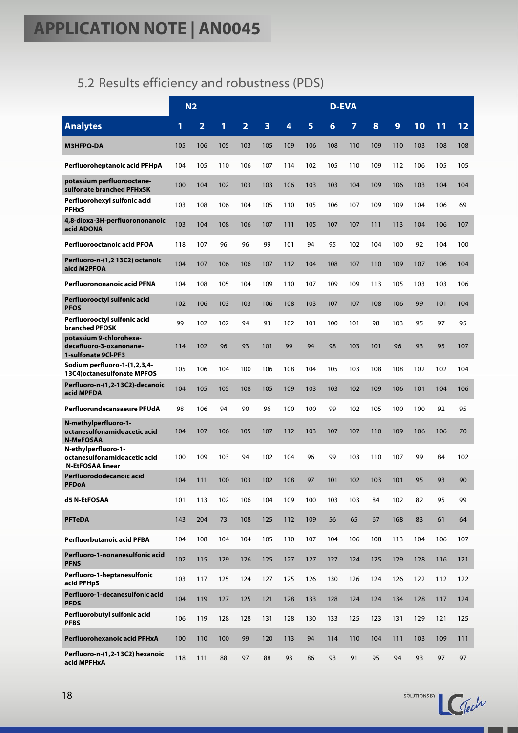### <span id="page-17-0"></span>5.2 Results efficiency and robustness (PDS)

|                                                                                |     | N <sub>2</sub>          |     |                |     |     |     |     | <b>D-EVA</b> |     |     |     |     |     |
|--------------------------------------------------------------------------------|-----|-------------------------|-----|----------------|-----|-----|-----|-----|--------------|-----|-----|-----|-----|-----|
| <b>Analytes</b>                                                                | 1   | $\overline{\mathbf{2}}$ | 1   | $\overline{2}$ | 3   | 4   | 5   | 6   | 7            | 8   | 9   | 10  | 11  | 12  |
| <b>M3HFPO-DA</b>                                                               | 105 | 106                     | 105 | 103            | 105 | 109 | 106 | 108 | 110          | 109 | 110 | 103 | 108 | 108 |
| Perfluoroheptanoic acid PFHpA                                                  | 104 | 105                     | 110 | 106            | 107 | 114 | 102 | 105 | 110          | 109 | 112 | 106 | 105 | 105 |
| potassium perfluorooctane-<br>sulfonate branched PFHxSK                        | 100 | 104                     | 102 | 103            | 103 | 106 | 103 | 103 | 104          | 109 | 106 | 103 | 104 | 104 |
| Perfluorohexyl sulfonic acid<br><b>PFHxS</b>                                   | 103 | 108                     | 106 | 104            | 105 | 110 | 105 | 106 | 107          | 109 | 109 | 104 | 106 | 69  |
| 4,8-dioxa-3H-perfluorononanoic<br>acid ADONA                                   | 103 | 104                     | 108 | 106            | 107 | 111 | 105 | 107 | 107          | 111 | 113 | 104 | 106 | 107 |
| Perfluorooctanoic acid PFOA                                                    | 118 | 107                     | 96  | 96             | 99  | 101 | 94  | 95  | 102          | 104 | 100 | 92  | 104 | 100 |
| Perfluoro-n-(1,2 13C2) octanoic<br>aicd M2PFOA                                 | 104 | 107                     | 106 | 106            | 107 | 112 | 104 | 108 | 107          | 110 | 109 | 107 | 106 | 104 |
| Perfluorononanoic acid PFNA                                                    | 104 | 108                     | 105 | 104            | 109 | 110 | 107 | 109 | 109          | 113 | 105 | 103 | 103 | 106 |
| Perfluorooctyl sulfonic acid<br><b>PFOS</b>                                    | 102 | 106                     | 103 | 103            | 106 | 108 | 103 | 107 | 107          | 108 | 106 | 99  | 101 | 104 |
| Perfluorooctyl sulfonic acid<br><b>branched PFOSK</b>                          | 99  | 102                     | 102 | 94             | 93  | 102 | 101 | 100 | 101          | 98  | 103 | 95  | 97  | 95  |
| potassium 9-chlorohexa-<br>decafluoro-3-oxanonane-<br>1-sulfonate 9CI-PF3      | 114 | 102                     | 96  | 93             | 101 | 99  | 94  | 98  | 103          | 101 | 96  | 93  | 95  | 107 |
| Sodium perfluoro-1-(1,2,3,4-<br>13C4) octanesulfonate MPFOS                    | 105 | 106                     | 104 | 100            | 106 | 108 | 104 | 105 | 103          | 108 | 108 | 102 | 102 | 104 |
| Perfluoro-n-(1,2-13C2)-decanoic<br>acid MPFDA                                  | 104 | 105                     | 105 | 108            | 105 | 109 | 103 | 103 | 102          | 109 | 106 | 101 | 104 | 106 |
| Perfluorundecansaeure PFUdA                                                    | 98  | 106                     | 94  | 90             | 96  | 100 | 100 | 99  | 102          | 105 | 100 | 100 | 92  | 95  |
| N-methylperfluoro-1-<br>octanesulfonamidoacetic acid<br><b>N-MeFOSAA</b>       | 104 | 107                     | 106 | 105            | 107 | 112 | 103 | 107 | 107          | 110 | 109 | 106 | 106 | 70  |
| N-ethylperfluoro-1-<br>octanesulfonamidoacetic acid<br><b>N-EtFOSAA linear</b> | 100 | 109                     | 103 | 94             | 102 | 104 | 96  | 99  | 103          | 110 | 107 | 99  | 84  | 102 |
| Perfluorododecanoic acid<br><b>PFDoA</b>                                       | 104 | 111                     | 100 | 103            | 102 | 108 | 97  | 101 | 102          | 103 | 101 | 95  | 93  | 90  |
| d5 N-EtFOSAA                                                                   | 101 | 113                     | 102 | 106            | 104 | 109 | 100 | 103 | 103          | 84  | 102 | 82  | 95  | 99  |
| <b>PFTeDA</b>                                                                  | 143 | 204                     | 73  | 108            | 125 | 112 | 109 | 56  | 65           | 67  | 168 | 83  | 61  | 64  |
| Perfluorbutanoic acid PFBA                                                     | 104 | 108                     | 104 | 104            | 105 | 110 | 107 | 104 | 106          | 108 | 113 | 104 | 106 | 107 |
| Perfluoro-1-nonanesulfonic acid<br><b>PFNS</b>                                 | 102 | 115                     | 129 | 126            | 125 | 127 | 127 | 127 | 124          | 125 | 129 | 128 | 116 | 121 |
| Perfluoro-1-heptanesulfonic<br>acid PFHpS                                      | 103 | 117                     | 125 | 124            | 127 | 125 | 126 | 130 | 126          | 124 | 126 | 122 | 112 | 122 |
| Perfluoro-1-decanesulfonic acid<br><b>PFDS</b>                                 | 104 | 119                     | 127 | 125            | 121 | 128 | 133 | 128 | 124          | 124 | 134 | 128 | 117 | 124 |
| Perfluorobutyl sulfonic acid<br><b>PFBS</b>                                    | 106 | 119                     | 128 | 128            | 131 | 128 | 130 | 133 | 125          | 123 | 131 | 129 | 121 | 125 |
| Perfluorohexanoic acid PFHxA                                                   | 100 | 110                     | 100 | 99             | 120 | 113 | 94  | 114 | 110          | 104 | 111 | 103 | 109 | 111 |
| Perfluoro-n-(1,2-13C2) hexanoic<br>acid MPFHxA                                 | 118 | 111                     | 88  | 97             | 88  | 93  | 86  | 93  | 91           | 95  | 94  | 93  | 97  | 97  |

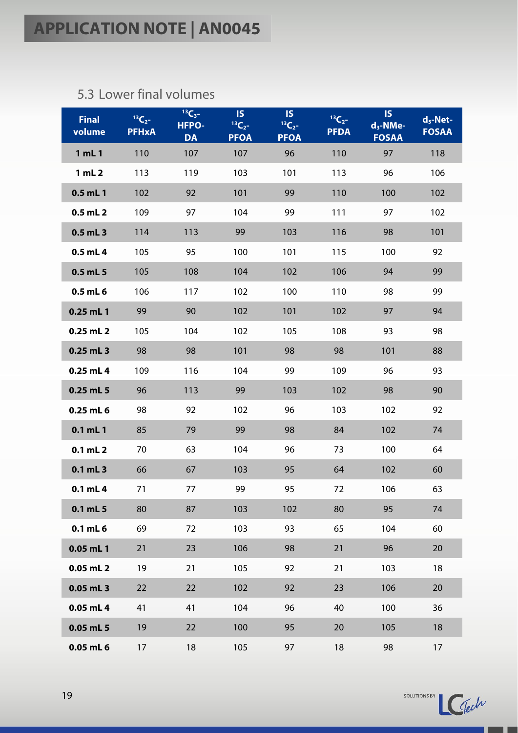### <span id="page-18-0"></span>5.3 Lower final volumes

| <b>Final</b><br>volume | $13C_{2}$<br><b>PFHxA</b> | $13C_3 -$<br><b>HFPO-</b><br><b>DA</b> | <b>IS</b><br>${}^{13}C_{2}$ -<br><b>PFOA</b> | <b>IS</b><br>$13C_{2}$ -<br><b>PFOA</b> | $13C_{2}$<br><b>PFDA</b> | <b>IS</b><br>$d_3$ -NMe-<br><b>FOSAA</b> | $d_5$ -Net-<br><b>FOSAA</b> |
|------------------------|---------------------------|----------------------------------------|----------------------------------------------|-----------------------------------------|--------------------------|------------------------------------------|-----------------------------|
| 1 mL 1                 | 110                       | 107                                    | 107                                          | 96                                      | 110                      | 97                                       | 118                         |
| 1 mL 2                 | 113                       | 119                                    | 103                                          | 101                                     | 113                      | 96                                       | 106                         |
| $0.5$ mL 1             | 102                       | 92                                     | 101                                          | 99                                      | 110                      | 100                                      | 102                         |
| $0.5$ mL $2$           | 109                       | 97                                     | 104                                          | 99                                      | 111                      | 97                                       | 102                         |
| 0.5 mL 3               | 114                       | 113                                    | 99                                           | 103                                     | 116                      | 98                                       | 101                         |
| $0.5$ mL 4             | 105                       | 95                                     | 100                                          | 101                                     | 115                      | 100                                      | 92                          |
| 0.5 mL 5               | 105                       | 108                                    | 104                                          | 102                                     | 106                      | 94                                       | 99                          |
| 0.5 mL 6               | 106                       | 117                                    | 102                                          | 100                                     | 110                      | 98                                       | 99                          |
| $0.25$ mL 1            | 99                        | 90                                     | 102                                          | 101                                     | 102                      | 97                                       | 94                          |
| $0.25$ mL 2            | 105                       | 104                                    | 102                                          | 105                                     | 108                      | 93                                       | 98                          |
| 0.25 mL 3              | 98                        | 98                                     | 101                                          | 98                                      | 98                       | 101                                      | 88                          |
| $0.25$ mL 4            | 109                       | 116                                    | 104                                          | 99                                      | 109                      | 96                                       | 93                          |
| 0.25 mL 5              | 96                        | 113                                    | 99                                           | 103                                     | 102                      | 98                                       | 90                          |
| 0.25 mL 6              | 98                        | 92                                     | 102                                          | 96                                      | 103                      | 102                                      | 92                          |
| 0.1 mL 1               | 85                        | 79                                     | 99                                           | 98                                      | 84                       | 102                                      | 74                          |
| $0.1$ mL $2$           | 70                        | 63                                     | 104                                          | 96                                      | 73                       | 100                                      | 64                          |
| 0.1 mL 3               | 66                        | 67                                     | 103                                          | 95                                      | 64                       | 102                                      | 60                          |
| $0.1$ mL 4             | 71                        | 77                                     | 99                                           | 95                                      | 72                       | 106                                      | 63                          |
| 0.1 mL 5               | 80                        | 87                                     | 103                                          | 102                                     | 80                       | 95                                       | 74                          |
| $0.1$ mL $6$           | 69                        | 72                                     | 103                                          | 93                                      | 65                       | 104                                      | 60                          |
| $0.05$ mL 1            | 21                        | 23                                     | 106                                          | 98                                      | 21                       | 96                                       | 20                          |
| $0.05$ mL 2            | 19                        | 21                                     | 105                                          | 92                                      | 21                       | 103                                      | 18                          |
| 0.05 mL 3              | 22                        | 22                                     | 102                                          | 92                                      | 23                       | 106                                      | 20                          |
| $0.05$ mL 4            | 41                        | 41                                     | 104                                          | 96                                      | 40                       | 100                                      | 36                          |
| 0.05 mL 5              | 19                        | 22                                     | 100                                          | 95                                      | 20                       | 105                                      | 18                          |
| 0.05 mL 6              | 17                        | 18                                     | 105                                          | 97                                      | 18                       | 98                                       | 17                          |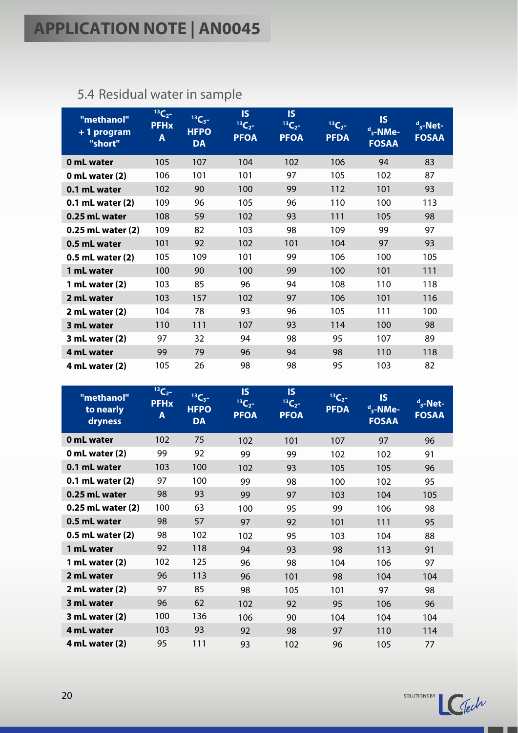| "methanol"<br>+1 program<br>"short" | $13C_{2}$<br><b>PFHx</b><br>Α | $13C_3 -$<br><b>HFPO</b><br><b>DA</b> | <b>IS</b><br>${}^{13}C_{2}$ -<br><b>PFOA</b> | <b>IS</b><br>$13C_{2}$<br><b>PFOA</b> | $\mathbb{B}$ C <sub>27</sub><br><b>PFDA</b> | <b>IS</b><br>$d_3$ -NMe-<br><b>FOSAA</b> | $d$ <sub>5</sub> -Net-<br><b>FOSAA</b> |
|-------------------------------------|-------------------------------|---------------------------------------|----------------------------------------------|---------------------------------------|---------------------------------------------|------------------------------------------|----------------------------------------|
| 0 mL water                          | 105                           | 107                                   | 104                                          | 102                                   | 106                                         | 94                                       | 83                                     |
| 0 mL water $(2)$                    | 106                           | 101                                   | 101                                          | 97                                    | 105                                         | 102                                      | 87                                     |
| 0.1 mL water                        | 102                           | 90                                    | 100                                          | 99                                    | 112                                         | 101                                      | 93                                     |
| 0.1 mL water (2)                    | 109                           | 96                                    | 105                                          | 96                                    | 110                                         | 100                                      | 113                                    |
| 0.25 mL water                       | 108                           | 59                                    | 102                                          | 93                                    | 111                                         | 105                                      | 98                                     |
| 0.25 mL water (2)                   | 109                           | 82                                    | 103                                          | 98                                    | 109                                         | 99                                       | 97                                     |
| 0.5 mL water                        | 101                           | 92                                    | 102                                          | 101                                   | 104                                         | 97                                       | 93                                     |
| 0.5 mL water (2)                    | 105                           | 109                                   | 101                                          | 99                                    | 106                                         | 100                                      | 105                                    |
| 1 mL water                          | 100                           | 90                                    | 100                                          | 99                                    | 100                                         | 101                                      | 111                                    |
| 1 mL water (2)                      | 103                           | 85                                    | 96                                           | 94                                    | 108                                         | 110                                      | 118                                    |
| 2 mL water                          | 103                           | 157                                   | 102                                          | 97                                    | 106                                         | 101                                      | 116                                    |
| $2$ mL water $(2)$                  | 104                           | 78                                    | 93                                           | 96                                    | 105                                         | 111                                      | 100                                    |
| 3 mL water                          | 110                           | 111                                   | 107                                          | 93                                    | 114                                         | 100                                      | 98                                     |
| 3 mL water (2)                      | 97                            | 32                                    | 94                                           | 98                                    | 95                                          | 107                                      | 89                                     |
| 4 mL water                          | 99                            | 79                                    | 96                                           | 94                                    | 98                                          | 110                                      | 118                                    |
| 4 mL water (2)                      | 105                           | 26                                    | 98                                           | 98                                    | 95                                          | 103                                      | 82                                     |

### <span id="page-19-0"></span>5.4 Residual water in sample

| "methanol"<br>to nearly<br>dryness | <b>BC2</b><br><b>PFHx</b><br>A | $13C_{3}$ -<br><b>HFPO</b><br><b>DA</b> | <b>IS</b><br>$13C_{2}$<br><b>PFOA</b> | <b>IS</b><br>$13C_2 -$<br><b>PFOA</b> | $^{13}C_{2}$ -<br><b>PFDA</b> | <b>IS</b><br>$d_{3}$ -NMe-<br><b>FOSAA</b> | $d_{5}$ -Net-<br><b>FOSAA</b> |
|------------------------------------|--------------------------------|-----------------------------------------|---------------------------------------|---------------------------------------|-------------------------------|--------------------------------------------|-------------------------------|
| 0 mL water                         | 102                            | 75                                      | 102                                   | 101                                   | 107                           | 97                                         | 96                            |
| 0 mL water $(2)$                   | 99                             | 92                                      | 99                                    | 99                                    | 102                           | 102                                        | 91                            |
| 0.1 mL water                       | 103                            | 100                                     | 102                                   | 93                                    | 105                           | 105                                        | 96                            |
| 0.1 mL water (2)                   | 97                             | 100                                     | 99                                    | 98                                    | 100                           | 102                                        | 95                            |
| 0.25 mL water                      | 98                             | 93                                      | 99                                    | 97                                    | 103                           | 104                                        | 105                           |
| 0.25 mL water (2)                  | 100                            | 63                                      | 100                                   | 95                                    | 99                            | 106                                        | 98                            |
| 0.5 mL water                       | 98                             | 57                                      | 97                                    | 92                                    | 101                           | 111                                        | 95                            |
| 0.5 mL water (2)                   | 98                             | 102                                     | 102                                   | 95                                    | 103                           | 104                                        | 88                            |
| 1 mL water                         | 92                             | 118                                     | 94                                    | 93                                    | 98                            | 113                                        | 91                            |
| 1 mL water (2)                     | 102                            | 125                                     | 96                                    | 98                                    | 104                           | 106                                        | 97                            |
| 2 mL water                         | 96                             | 113                                     | 96                                    | 101                                   | 98                            | 104                                        | 104                           |
| 2 mL water (2)                     | 97                             | 85                                      | 98                                    | 105                                   | 101                           | 97                                         | 98                            |
| 3 mL water                         | 96                             | 62                                      | 102                                   | 92                                    | 95                            | 106                                        | 96                            |
| 3 mL water (2)                     | 100                            | 136                                     | 106                                   | 90                                    | 104                           | 104                                        | 104                           |
| 4 mL water                         | 103                            | 93                                      | 92                                    | 98                                    | 97                            | 110                                        | 114                           |
| 4 mL water (2)                     | 95                             | 111                                     | 93                                    | 102                                   | 96                            | 105                                        | 77                            |

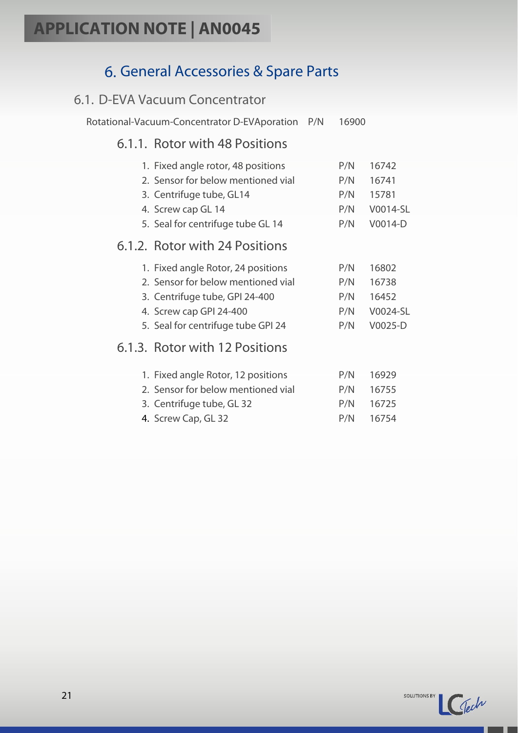### 6. General Accessories & Spare Parts

#### <span id="page-20-1"></span><span id="page-20-0"></span>6.1. D-EVA Vacuum Concentrator

<span id="page-20-2"></span>Rotational-Vacuum-Concentrator D-EVAporation P/N 16900

### 6.1.1. Rotor with 48 Positions

<span id="page-20-4"></span><span id="page-20-3"></span>

| 1. Fixed angle rotor, 48 positions | P/N | 16742    |
|------------------------------------|-----|----------|
| 2. Sensor for below mentioned vial | P/N | 16741    |
| 3. Centrifuge tube, GL14           | P/N | 15781    |
| 4. Screw cap GL 14                 | P/N | V0014-SL |
| 5. Seal for centrifuge tube GL 14  | P/N | V0014-D  |
| 6.1.2. Rotor with 24 Positions     |     |          |
| 1. Fixed angle Rotor, 24 positions | P/N | 16802    |
| 2. Sensor for below mentioned vial | P/N | 16738    |
| 3. Centrifuge tube, GPI 24-400     | P/N | 16452    |
| 4. Screw cap GPI 24-400            | P/N | V0024-SL |
| 5. Seal for centrifuge tube GPI 24 | P/N | V0025-D  |
| 6.1.3. Rotor with 12 Positions     |     |          |
| 1. Fixed angle Rotor, 12 positions | P/N | 16929    |
| 2. Sensor for below mentioned vial | P/N | 16755    |
| 3. Centrifuge tube, GL 32          | P/N | 16725    |
| 4. Screw Cap, GL 32                | P/N | 16754    |